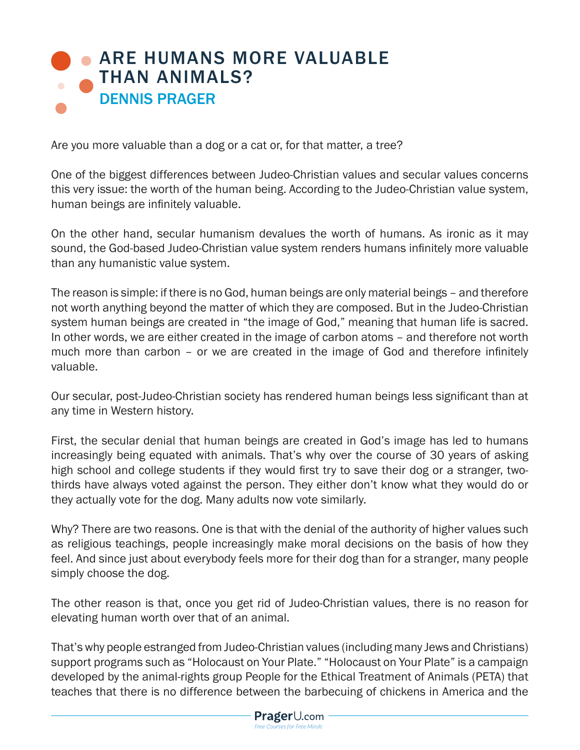## **• ARE HUMANS MORE VALUABLE** THAN ANIMALS? DENNIS PRAGER

Are you more valuable than a dog or a cat or, for that matter, a tree?

One of the biggest differences between Judeo-Christian values and secular values concerns this very issue: the worth of the human being. According to the Judeo-Christian value system, human beings are infinitely valuable.

On the other hand, secular humanism devalues the worth of humans. As ironic as it may sound, the God-based Judeo-Christian value system renders humans infinitely more valuable than any humanistic value system.

The reason is simple: if there is no God, human beings are only material beings – and therefore not worth anything beyond the matter of which they are composed. But in the Judeo-Christian system human beings are created in "the image of God," meaning that human life is sacred. In other words, we are either created in the image of carbon atoms – and therefore not worth much more than carbon – or we are created in the image of God and therefore infinitely valuable.

Our secular, post-Judeo-Christian society has rendered human beings less significant than at any time in Western history.

First, the secular denial that human beings are created in God's image has led to humans increasingly being equated with animals. That's why over the course of 30 years of asking high school and college students if they would first try to save their dog or a stranger, twothirds have always voted against the person. They either don't know what they would do or they actually vote for the dog. Many adults now vote similarly.

Why? There are two reasons. One is that with the denial of the authority of higher values such as religious teachings, people increasingly make moral decisions on the basis of how they feel. And since just about everybody feels more for their dog than for a stranger, many people simply choose the dog.

The other reason is that, once you get rid of Judeo-Christian values, there is no reason for elevating human worth over that of an animal.

That's why people estranged from Judeo-Christian values (including many Jews and Christians) support programs such as "Holocaust on Your Plate." "Holocaust on Your Plate" is a campaign developed by the animal-rights group People for the Ethical Treatment of Animals (PETA) that teaches that there is no difference between the barbecuing of chickens in America and the